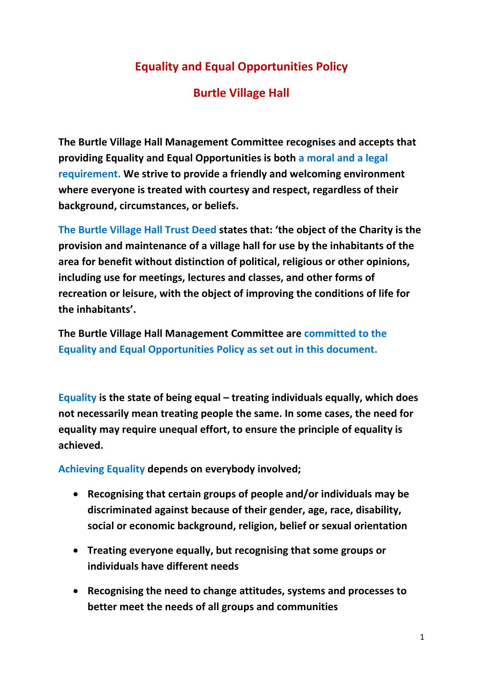## **Equality and Equal Opportunities Policy**

## **Burtle Village Hall**

**The Burtle Village Hall Management Committee recognises and accepts that providing Equality and Equal Opportunities is both a moral and a legal requirement. We strive to provide a friendly and welcoming environment where everyone is treated with courtesy and respect, regardless of their background, circumstances, or beliefs.** 

**The Burtle Village Hall Trust Deed states that: 'the object of the Charity is the provision and maintenance of a village hall for use by the inhabitants of the area for benefit without distinction of political, religious or other opinions, including use for meetings, lectures and classes, and other forms of recreation or leisure, with the object of improving the conditions of life for the inhabitants'.** 

**The Burtle Village Hall Management Committee are committed to the Equality and Equal Opportunities Policy as set out in this document.**

**Equality is the state of being equal – treating individuals equally, which does not necessarily mean treating people the same. In some cases, the need for equality may require unequal effort, to ensure the principle of equality is achieved.**

**Achieving Equality depends on everybody involved;**

- **Recognising that certain groups of people and/or individuals may be discriminated against because of their gender, age, race, disability, social or economic background, religion, belief or sexual orientation**
- **Treating everyone equally, but recognising that some groups or individuals have different needs**
- **Recognising the need to change attitudes, systems and processes to better meet the needs of all groups and communities**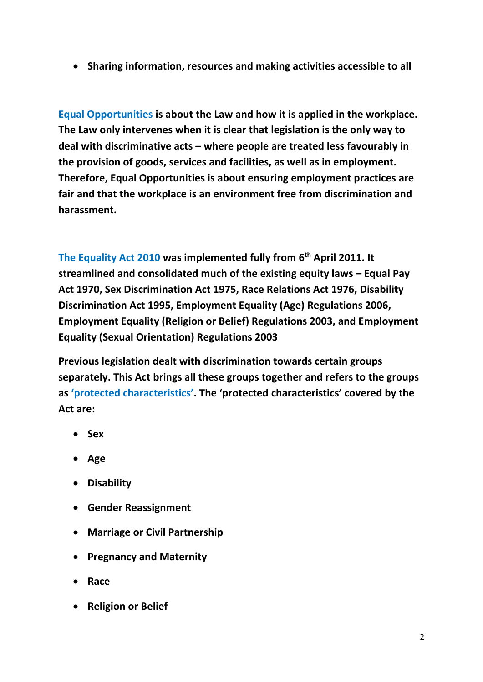**Sharing information, resources and making activities accessible to all**

**Equal Opportunities is about the Law and how it is applied in the workplace. The Law only intervenes when it is clear that legislation is the only way to deal with discriminative acts – where people are treated less favourably in the provision of goods, services and facilities, as well as in employment. Therefore, Equal Opportunities is about ensuring employment practices are fair and that the workplace is an environment free from discrimination and harassment.** 

**The Equality Act 2010 was implemented fully from 6th April 2011. It streamlined and consolidated much of the existing equity laws – Equal Pay Act 1970, Sex Discrimination Act 1975, Race Relations Act 1976, Disability Discrimination Act 1995, Employment Equality (Age) Regulations 2006, Employment Equality (Religion or Belief) Regulations 2003, and Employment Equality (Sexual Orientation) Regulations 2003**

**Previous legislation dealt with discrimination towards certain groups separately. This Act brings all these groups together and refers to the groups as 'protected characteristics'. The 'protected characteristics' covered by the Act are:**

- **Sex**
- **Age**
- **Disability**
- **Gender Reassignment**
- **Marriage or Civil Partnership**
- **Pregnancy and Maternity**
- **Race**
- **Religion or Belief**